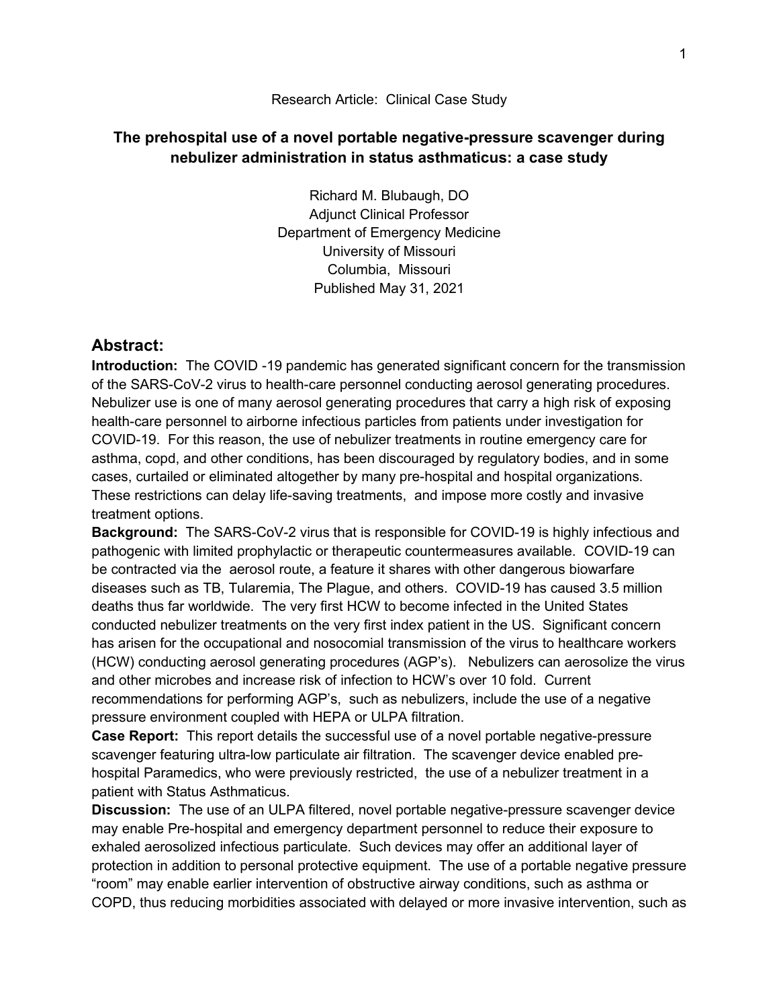## Research Article: Clinical Case Study

## **The prehospital use of a novel portable negative-pressure scavenger during nebulizer administration in status asthmaticus: a case study**

Richard M. Blubaugh, DO Adjunct Clinical Professor Department of Emergency Medicine University of Missouri Columbia, Missouri Published May 31, 2021

## **Abstract:**

**Introduction:** The COVID -19 pandemic has generated significant concern for the transmission of the SARS-CoV-2 virus to health-care personnel conducting aerosol generating procedures. Nebulizer use is one of many aerosol generating procedures that carry a high risk of exposing health-care personnel to airborne infectious particles from patients under investigation for COVID-19. For this reason, the use of nebulizer treatments in routine emergency care for asthma, copd, and other conditions, has been discouraged by regulatory bodies, and in some cases, curtailed or eliminated altogether by many pre-hospital and hospital organizations. These restrictions can delay life-saving treatments, and impose more costly and invasive treatment options.

**Background:** The SARS-CoV-2 virus that is responsible for COVID-19 is highly infectious and pathogenic with limited prophylactic or therapeutic countermeasures available. COVID-19 can be contracted via the aerosol route, a feature it shares with other dangerous biowarfare diseases such as TB, Tularemia, The Plague, and others. COVID-19 has caused 3.5 million deaths thus far worldwide. The very first HCW to become infected in the United States conducted nebulizer treatments on the very first index patient in the US. Significant concern has arisen for the occupational and nosocomial transmission of the virus to healthcare workers (HCW) conducting aerosol generating procedures (AGP's). Nebulizers can aerosolize the virus and other microbes and increase risk of infection to HCW's over 10 fold. Current recommendations for performing AGP's, such as nebulizers, include the use of a negative pressure environment coupled with HEPA or ULPA filtration.

**Case Report:** This report details the successful use of a novel portable negative-pressure scavenger featuring ultra-low particulate air filtration. The scavenger device enabled prehospital Paramedics, who were previously restricted, the use of a nebulizer treatment in a patient with Status Asthmaticus.

**Discussion:** The use of an ULPA filtered, novel portable negative-pressure scavenger device may enable Pre-hospital and emergency department personnel to reduce their exposure to exhaled aerosolized infectious particulate. Such devices may offer an additional layer of protection in addition to personal protective equipment. The use of a portable negative pressure "room" may enable earlier intervention of obstructive airway conditions, such as asthma or COPD, thus reducing morbidities associated with delayed or more invasive intervention, such as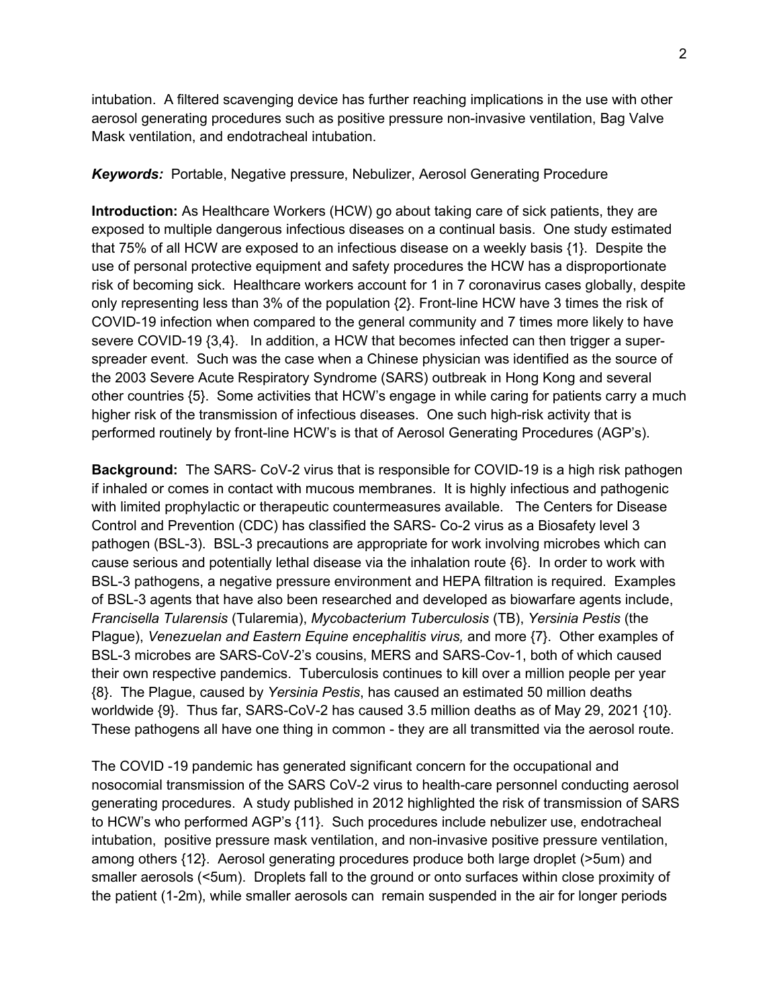intubation. A filtered scavenging device has further reaching implications in the use with other aerosol generating procedures such as positive pressure non-invasive ventilation, Bag Valve Mask ventilation, and endotracheal intubation.

*Keywords:* Portable, Negative pressure, Nebulizer, Aerosol Generating Procedure

**Introduction:** As Healthcare Workers (HCW) go about taking care of sick patients, they are exposed to multiple dangerous infectious diseases on a continual basis. One study estimated that 75% of all HCW are exposed to an infectious disease on a weekly basis {1}. Despite the use of personal protective equipment and safety procedures the HCW has a disproportionate risk of becoming sick. Healthcare workers account for 1 in 7 coronavirus cases globally, despite only representing less than 3% of the population {2}. Front-line HCW have 3 times the risk of COVID-19 infection when compared to the general community and 7 times more likely to have severe COVID-19 {3,4}. In addition, a HCW that becomes infected can then trigger a superspreader event. Such was the case when a Chinese physician was identified as the source of the 2003 Severe Acute Respiratory Syndrome (SARS) outbreak in Hong Kong and several other countries {5}. Some activities that HCW's engage in while caring for patients carry a much higher risk of the transmission of infectious diseases. One such high-risk activity that is performed routinely by front-line HCW's is that of Aerosol Generating Procedures (AGP's).

**Background:** The SARS- CoV-2 virus that is responsible for COVID-19 is a high risk pathogen if inhaled or comes in contact with mucous membranes. It is highly infectious and pathogenic with limited prophylactic or therapeutic countermeasures available. The Centers for Disease Control and Prevention (CDC) has classified the SARS- Co-2 virus as a Biosafety level 3 pathogen (BSL-3). BSL-3 precautions are appropriate for work involving microbes which can cause serious and potentially lethal disease via the inhalation route {6}. In order to work with BSL-3 pathogens, a negative pressure environment and HEPA filtration is required. Examples of BSL-3 agents that have also been researched and developed as biowarfare agents include, *Francisella Tularensis* (Tularemia), *Mycobacterium Tuberculosis* (TB), *Yersinia Pestis* (the Plague), *Venezuelan and Eastern Equine encephalitis virus,* and more {7}. Other examples of BSL-3 microbes are SARS-CoV-2's cousins, MERS and SARS-Cov-1, both of which caused their own respective pandemics. Tuberculosis continues to kill over a million people per year {8}. The Plague, caused by *Yersinia Pestis*, has caused an estimated 50 million deaths worldwide {9}. Thus far, SARS-CoV-2 has caused 3.5 million deaths as of May 29, 2021 {10}. These pathogens all have one thing in common - they are all transmitted via the aerosol route.

The COVID -19 pandemic has generated significant concern for the occupational and nosocomial transmission of the SARS CoV-2 virus to health-care personnel conducting aerosol generating procedures. A study published in 2012 highlighted the risk of transmission of SARS to HCW's who performed AGP's {11}. Such procedures include nebulizer use, endotracheal intubation, positive pressure mask ventilation, and non-invasive positive pressure ventilation, among others {12}. Aerosol generating procedures produce both large droplet (>5um) and smaller aerosols (<5um). Droplets fall to the ground or onto surfaces within close proximity of the patient (1-2m), while smaller aerosols can remain suspended in the air for longer periods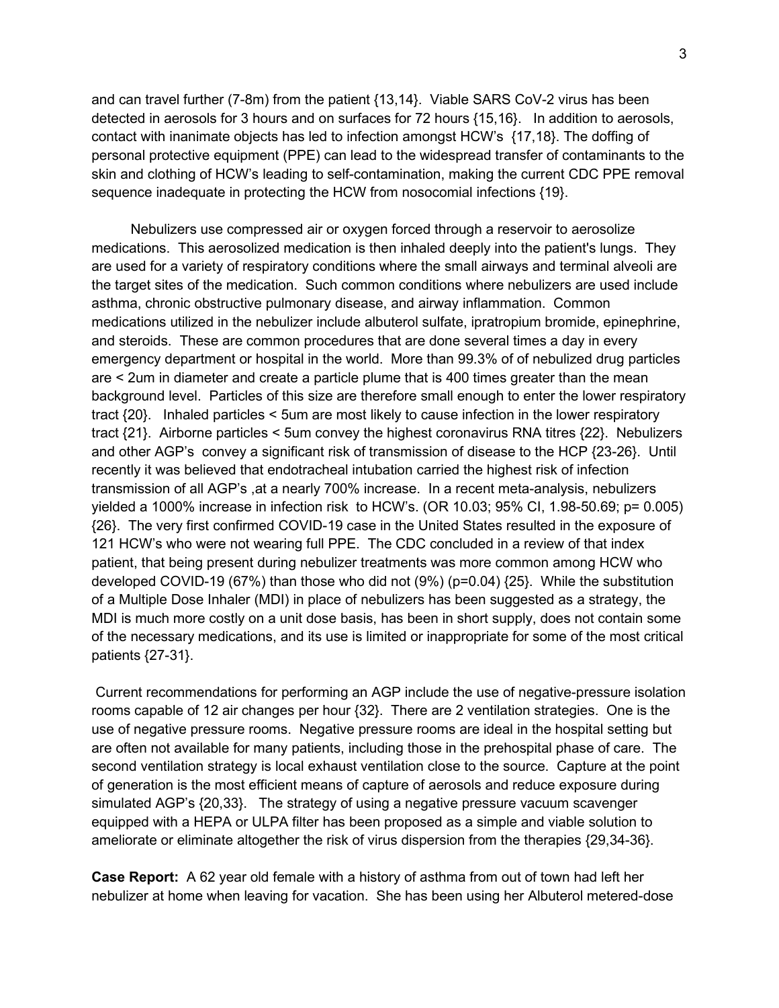and can travel further (7-8m) from the patient {13,14}. Viable SARS CoV-2 virus has been detected in aerosols for 3 hours and on surfaces for 72 hours {15,16}. In addition to aerosols, contact with inanimate objects has led to infection amongst HCW's {17,18}. The doffing of personal protective equipment (PPE) can lead to the widespread transfer of contaminants to the skin and clothing of HCW's leading to self-contamination, making the current CDC PPE removal sequence inadequate in protecting the HCW from nosocomial infections {19}.

 Nebulizers use compressed air or oxygen forced through a reservoir to aerosolize medications. This aerosolized medication is then inhaled deeply into the patient's lungs. They are used for a variety of respiratory conditions where the small airways and terminal alveoli are the target sites of the medication. Such common conditions where nebulizers are used include asthma, chronic obstructive pulmonary disease, and airway inflammation. Common medications utilized in the nebulizer include albuterol sulfate, ipratropium bromide, epinephrine, and steroids. These are common procedures that are done several times a day in every emergency department or hospital in the world. More than 99.3% of of nebulized drug particles are < 2um in diameter and create a particle plume that is 400 times greater than the mean background level. Particles of this size are therefore small enough to enter the lower respiratory tract {20}. Inhaled particles < 5um are most likely to cause infection in the lower respiratory tract {21}. Airborne particles < 5um convey the highest coronavirus RNA titres {22}. Nebulizers and other AGP's convey a significant risk of transmission of disease to the HCP {23-26}. Until recently it was believed that endotracheal intubation carried the highest risk of infection transmission of all AGP's ,at a nearly 700% increase. In a recent meta-analysis, nebulizers yielded a 1000% increase in infection risk to HCW's. (OR 10.03; 95% CI, 1.98-50.69; p= 0.005) {26}. The very first confirmed COVID-19 case in the United States resulted in the exposure of 121 HCW's who were not wearing full PPE. The CDC concluded in a review of that index patient, that being present during nebulizer treatments was more common among HCW who developed COVID-19 (67%) than those who did not (9%) (p=0.04) {25}. While the substitution of a Multiple Dose Inhaler (MDI) in place of nebulizers has been suggested as a strategy, the MDI is much more costly on a unit dose basis, has been in short supply, does not contain some of the necessary medications, and its use is limited or inappropriate for some of the most critical patients {27-31}.

Current recommendations for performing an AGP include the use of negative-pressure isolation rooms capable of 12 air changes per hour {32}. There are 2 ventilation strategies. One is the use of negative pressure rooms. Negative pressure rooms are ideal in the hospital setting but are often not available for many patients, including those in the prehospital phase of care. The second ventilation strategy is local exhaust ventilation close to the source. Capture at the point of generation is the most efficient means of capture of aerosols and reduce exposure during simulated AGP's {20,33}. The strategy of using a negative pressure vacuum scavenger equipped with a HEPA or ULPA filter has been proposed as a simple and viable solution to ameliorate or eliminate altogether the risk of virus dispersion from the therapies {29,34-36}.

**Case Report:** A 62 year old female with a history of asthma from out of town had left her nebulizer at home when leaving for vacation. She has been using her Albuterol metered-dose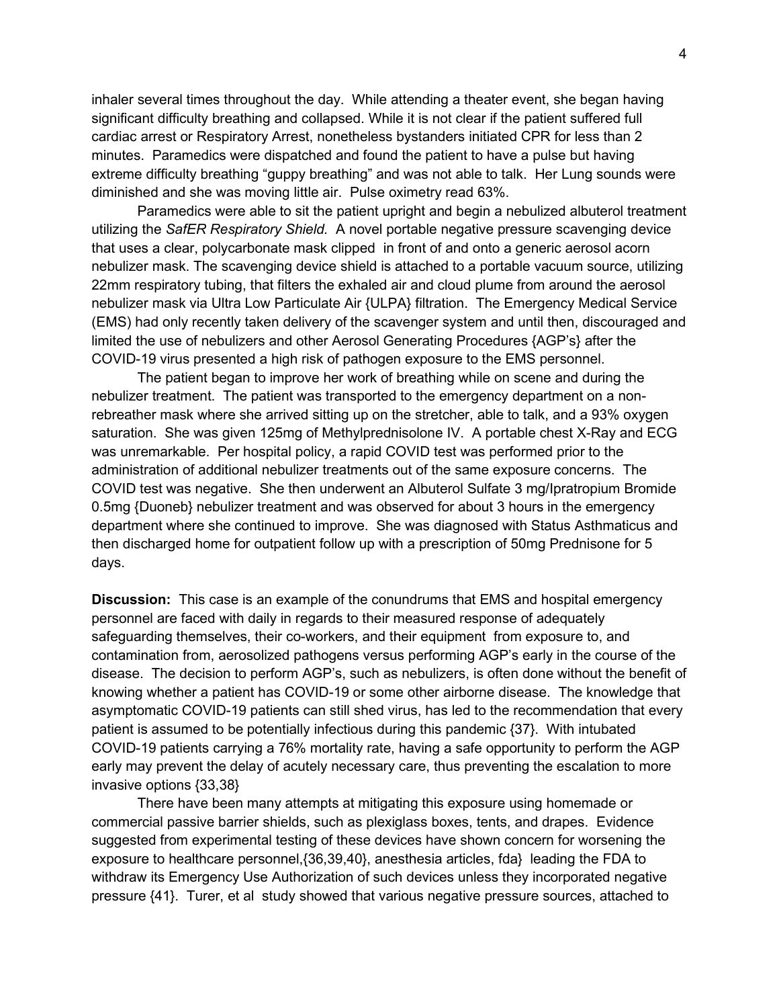inhaler several times throughout the day. While attending a theater event, she began having significant difficulty breathing and collapsed. While it is not clear if the patient suffered full cardiac arrest or Respiratory Arrest, nonetheless bystanders initiated CPR for less than 2 minutes. Paramedics were dispatched and found the patient to have a pulse but having extreme difficulty breathing "guppy breathing" and was not able to talk. Her Lung sounds were diminished and she was moving little air. Pulse oximetry read 63%.

Paramedics were able to sit the patient upright and begin a nebulized albuterol treatment utilizing the *SafER Respiratory Shield.* A novel portable negative pressure scavenging device that uses a clear, polycarbonate mask clipped in front of and onto a generic aerosol acorn nebulizer mask. The scavenging device shield is attached to a portable vacuum source, utilizing 22mm respiratory tubing, that filters the exhaled air and cloud plume from around the aerosol nebulizer mask via Ultra Low Particulate Air {ULPA} filtration. The Emergency Medical Service (EMS) had only recently taken delivery of the scavenger system and until then, discouraged and limited the use of nebulizers and other Aerosol Generating Procedures {AGP's} after the COVID-19 virus presented a high risk of pathogen exposure to the EMS personnel.

The patient began to improve her work of breathing while on scene and during the nebulizer treatment. The patient was transported to the emergency department on a nonrebreather mask where she arrived sitting up on the stretcher, able to talk, and a 93% oxygen saturation. She was given 125mg of Methylprednisolone IV. A portable chest X-Ray and ECG was unremarkable. Per hospital policy, a rapid COVID test was performed prior to the administration of additional nebulizer treatments out of the same exposure concerns. The COVID test was negative. She then underwent an Albuterol Sulfate 3 mg/Ipratropium Bromide 0.5mg {Duoneb} nebulizer treatment and was observed for about 3 hours in the emergency department where she continued to improve. She was diagnosed with Status Asthmaticus and then discharged home for outpatient follow up with a prescription of 50mg Prednisone for 5 days.

**Discussion:** This case is an example of the conundrums that EMS and hospital emergency personnel are faced with daily in regards to their measured response of adequately safeguarding themselves, their co-workers, and their equipment from exposure to, and contamination from, aerosolized pathogens versus performing AGP's early in the course of the disease. The decision to perform AGP's, such as nebulizers, is often done without the benefit of knowing whether a patient has COVID-19 or some other airborne disease. The knowledge that asymptomatic COVID-19 patients can still shed virus, has led to the recommendation that every patient is assumed to be potentially infectious during this pandemic {37}. With intubated COVID-19 patients carrying a 76% mortality rate, having a safe opportunity to perform the AGP early may prevent the delay of acutely necessary care, thus preventing the escalation to more invasive options {33,38}

There have been many attempts at mitigating this exposure using homemade or commercial passive barrier shields, such as plexiglass boxes, tents, and drapes. Evidence suggested from experimental testing of these devices have shown concern for worsening the exposure to healthcare personnel,{36,39,40}, anesthesia articles, fda} leading the FDA to withdraw its Emergency Use Authorization of such devices unless they incorporated negative pressure {41}. Turer, et al study showed that various negative pressure sources, attached to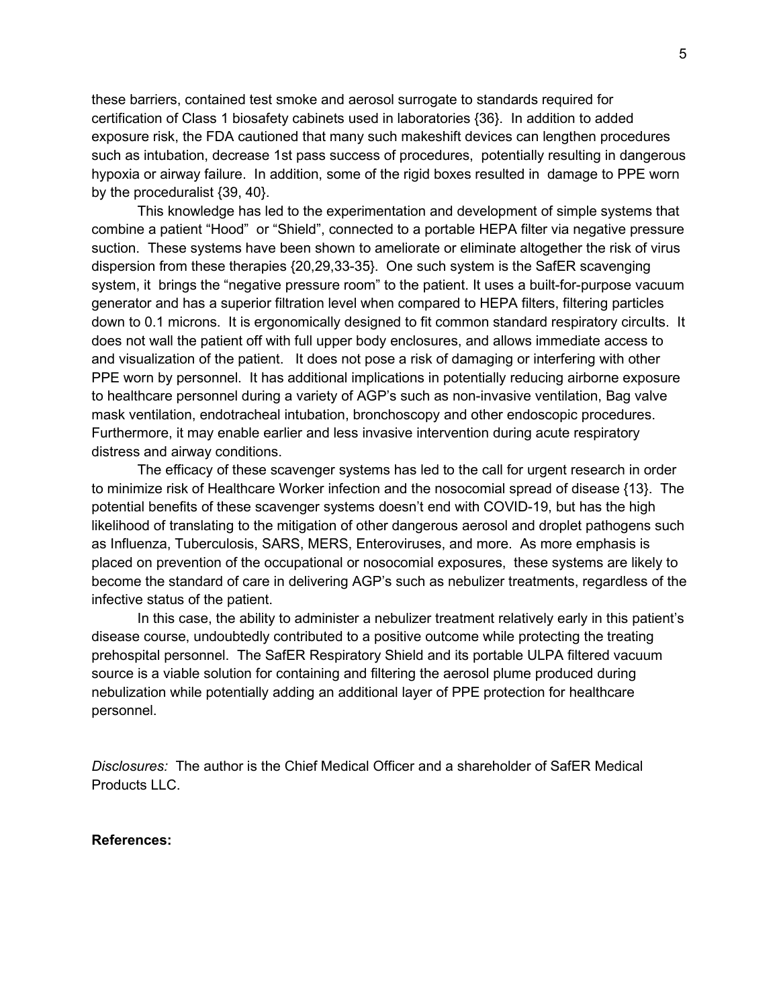these barriers, contained test smoke and aerosol surrogate to standards required for certification of Class 1 biosafety cabinets used in laboratories {36}. In addition to added exposure risk, the FDA cautioned that many such makeshift devices can lengthen procedures such as intubation, decrease 1st pass success of procedures, potentially resulting in dangerous hypoxia or airway failure. In addition, some of the rigid boxes resulted in damage to PPE worn by the proceduralist {39, 40}.

This knowledge has led to the experimentation and development of simple systems that combine a patient "Hood" or "Shield", connected to a portable HEPA filter via negative pressure suction. These systems have been shown to ameliorate or eliminate altogether the risk of virus dispersion from these therapies {20,29,33-35}. One such system is the SafER scavenging system, it brings the "negative pressure room" to the patient. It uses a built-for-purpose vacuum generator and has a superior filtration level when compared to HEPA filters, filtering particles down to 0.1 microns. It is ergonomically designed to fit common standard respiratory circults. It does not wall the patient off with full upper body enclosures, and allows immediate access to and visualization of the patient. It does not pose a risk of damaging or interfering with other PPE worn by personnel. It has additional implications in potentially reducing airborne exposure to healthcare personnel during a variety of AGP's such as non-invasive ventilation, Bag valve mask ventilation, endotracheal intubation, bronchoscopy and other endoscopic procedures. Furthermore, it may enable earlier and less invasive intervention during acute respiratory distress and airway conditions.

The efficacy of these scavenger systems has led to the call for urgent research in order to minimize risk of Healthcare Worker infection and the nosocomial spread of disease {13}. The potential benefits of these scavenger systems doesn't end with COVID-19, but has the high likelihood of translating to the mitigation of other dangerous aerosol and droplet pathogens such as Influenza, Tuberculosis, SARS, MERS, Enteroviruses, and more. As more emphasis is placed on prevention of the occupational or nosocomial exposures, these systems are likely to become the standard of care in delivering AGP's such as nebulizer treatments, regardless of the infective status of the patient.

In this case, the ability to administer a nebulizer treatment relatively early in this patient's disease course, undoubtedly contributed to a positive outcome while protecting the treating prehospital personnel. The SafER Respiratory Shield and its portable ULPA filtered vacuum source is a viable solution for containing and filtering the aerosol plume produced during nebulization while potentially adding an additional layer of PPE protection for healthcare personnel.

*Disclosures:* The author is the Chief Medical Officer and a shareholder of SafER Medical Products LLC.

## **References:**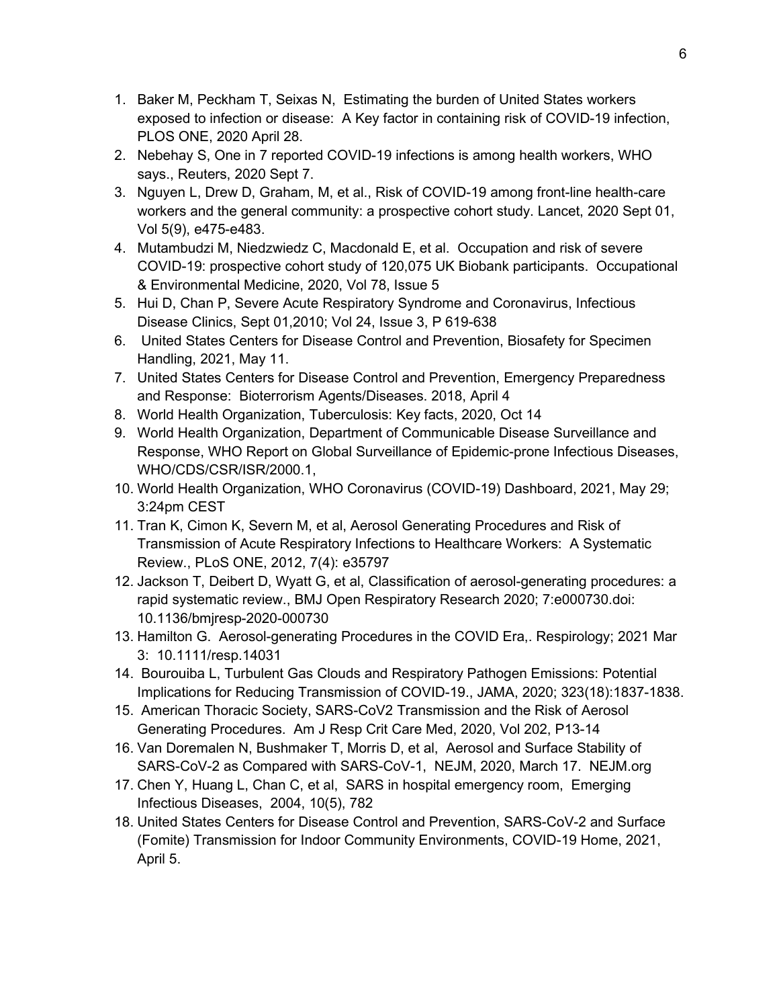- 1. Baker M, Peckham T, Seixas N, Estimating the burden of United States workers exposed to infection or disease: A Key factor in containing risk of COVID-19 infection, PLOS ONE, 2020 April 28.
- 2. Nebehay S, One in 7 reported COVID-19 infections is among health workers, WHO says., Reuters, 2020 Sept 7.
- 3. Nguyen L, Drew D, Graham, M, et al., Risk of COVID-19 among front-line health-care workers and the general community: a prospective cohort study. Lancet, 2020 Sept 01, Vol 5(9), e475-e483.
- 4. Mutambudzi M, Niedzwiedz C, Macdonald E, et al. Occupation and risk of severe COVID-19: prospective cohort study of 120,075 UK Biobank participants. Occupational & Environmental Medicine, 2020, Vol 78, Issue 5
- 5. Hui D, Chan P, Severe Acute Respiratory Syndrome and Coronavirus, Infectious Disease Clinics, Sept 01,2010; Vol 24, Issue 3, P 619-638
- 6. United States Centers for Disease Control and Prevention, Biosafety for Specimen Handling, 2021, May 11.
- 7. United States Centers for Disease Control and Prevention, Emergency Preparedness and Response: Bioterrorism Agents/Diseases. 2018, April 4
- 8. World Health Organization, Tuberculosis: Key facts, 2020, Oct 14
- 9. World Health Organization, Department of Communicable Disease Surveillance and Response, WHO Report on Global Surveillance of Epidemic-prone Infectious Diseases, WHO/CDS/CSR/ISR/2000.1,
- 10. World Health Organization, WHO Coronavirus (COVID-19) Dashboard, 2021, May 29; 3:24pm CEST
- 11. Tran K, Cimon K, Severn M, et al, Aerosol Generating Procedures and Risk of Transmission of Acute Respiratory Infections to Healthcare Workers: A Systematic Review., PLoS ONE, 2012, 7(4): e35797
- 12. Jackson T, Deibert D, Wyatt G, et al, Classification of aerosol-generating procedures: a rapid systematic review., BMJ Open Respiratory Research 2020; 7:e000730.doi: 10.1136/bmjresp-2020-000730
- 13. Hamilton G. Aerosol-generating Procedures in the COVID Era,. Respirology; 2021 Mar 3: 10.1111/resp.14031
- 14. Bourouiba L, Turbulent Gas Clouds and Respiratory Pathogen Emissions: Potential Implications for Reducing Transmission of COVID-19., JAMA, 2020; 323(18):1837-1838.
- 15. American Thoracic Society, SARS-CoV2 Transmission and the Risk of Aerosol Generating Procedures. Am J Resp Crit Care Med, 2020, Vol 202, P13-14
- 16. Van Doremalen N, Bushmaker T, Morris D, et al, Aerosol and Surface Stability of SARS-CoV-2 as Compared with SARS-CoV-1, NEJM, 2020, March 17. NEJM.org
- 17. Chen Y, Huang L, Chan C, et al, SARS in hospital emergency room, Emerging Infectious Diseases, 2004, 10(5), 782
- 18. United States Centers for Disease Control and Prevention, SARS-CoV-2 and Surface (Fomite) Transmission for Indoor Community Environments, COVID-19 Home, 2021, April 5.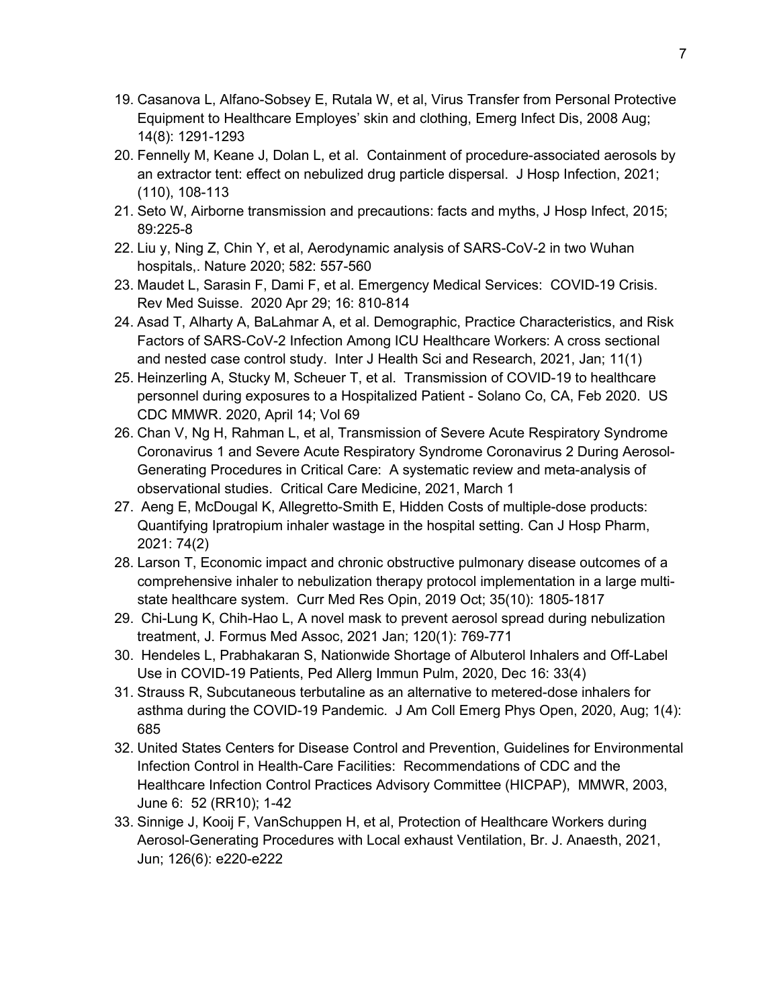- 19. Casanova L, Alfano-Sobsey E, Rutala W, et al, Virus Transfer from Personal Protective Equipment to Healthcare Employes' skin and clothing, Emerg Infect Dis, 2008 Aug; 14(8): 1291-1293
- 20. Fennelly M, Keane J, Dolan L, et al. Containment of procedure-associated aerosols by an extractor tent: effect on nebulized drug particle dispersal. J Hosp Infection, 2021; (110), 108-113
- 21. Seto W, Airborne transmission and precautions: facts and myths, J Hosp Infect, 2015; 89:225-8
- 22. Liu y, Ning Z, Chin Y, et al, Aerodynamic analysis of SARS-CoV-2 in two Wuhan hospitals,. Nature 2020; 582: 557-560
- 23. Maudet L, Sarasin F, Dami F, et al. Emergency Medical Services: COVID-19 Crisis. Rev Med Suisse. 2020 Apr 29; 16: 810-814
- 24. Asad T, Alharty A, BaLahmar A, et al. Demographic, Practice Characteristics, and Risk Factors of SARS-CoV-2 Infection Among ICU Healthcare Workers: A cross sectional and nested case control study. Inter J Health Sci and Research, 2021, Jan; 11(1)
- 25. Heinzerling A, Stucky M, Scheuer T, et al. Transmission of COVID-19 to healthcare personnel during exposures to a Hospitalized Patient - Solano Co, CA, Feb 2020. US CDC MMWR. 2020, April 14; Vol 69
- 26. Chan V, Ng H, Rahman L, et al, Transmission of Severe Acute Respiratory Syndrome Coronavirus 1 and Severe Acute Respiratory Syndrome Coronavirus 2 During Aerosol-Generating Procedures in Critical Care: A systematic review and meta-analysis of observational studies. Critical Care Medicine, 2021, March 1
- 27. Aeng E, McDougal K, Allegretto-Smith E, Hidden Costs of multiple-dose products: Quantifying Ipratropium inhaler wastage in the hospital setting. Can J Hosp Pharm, 2021: 74(2)
- 28. Larson T, Economic impact and chronic obstructive pulmonary disease outcomes of a comprehensive inhaler to nebulization therapy protocol implementation in a large multistate healthcare system. Curr Med Res Opin, 2019 Oct; 35(10): 1805-1817
- 29. Chi-Lung K, Chih-Hao L, A novel mask to prevent aerosol spread during nebulization treatment, J. Formus Med Assoc, 2021 Jan; 120(1): 769-771
- 30. Hendeles L, Prabhakaran S, Nationwide Shortage of Albuterol Inhalers and Off-Label Use in COVID-19 Patients, Ped Allerg Immun Pulm, 2020, Dec 16: 33(4)
- 31. Strauss R, Subcutaneous terbutaline as an alternative to metered-dose inhalers for asthma during the COVID-19 Pandemic. J Am Coll Emerg Phys Open, 2020, Aug; 1(4): 685
- 32. United States Centers for Disease Control and Prevention, Guidelines for Environmental Infection Control in Health-Care Facilities: Recommendations of CDC and the Healthcare Infection Control Practices Advisory Committee (HICPAP), MMWR, 2003, June 6: 52 (RR10); 1-42
- 33. Sinnige J, Kooij F, VanSchuppen H, et al, Protection of Healthcare Workers during Aerosol-Generating Procedures with Local exhaust Ventilation, Br. J. Anaesth, 2021, Jun; 126(6): e220-e222